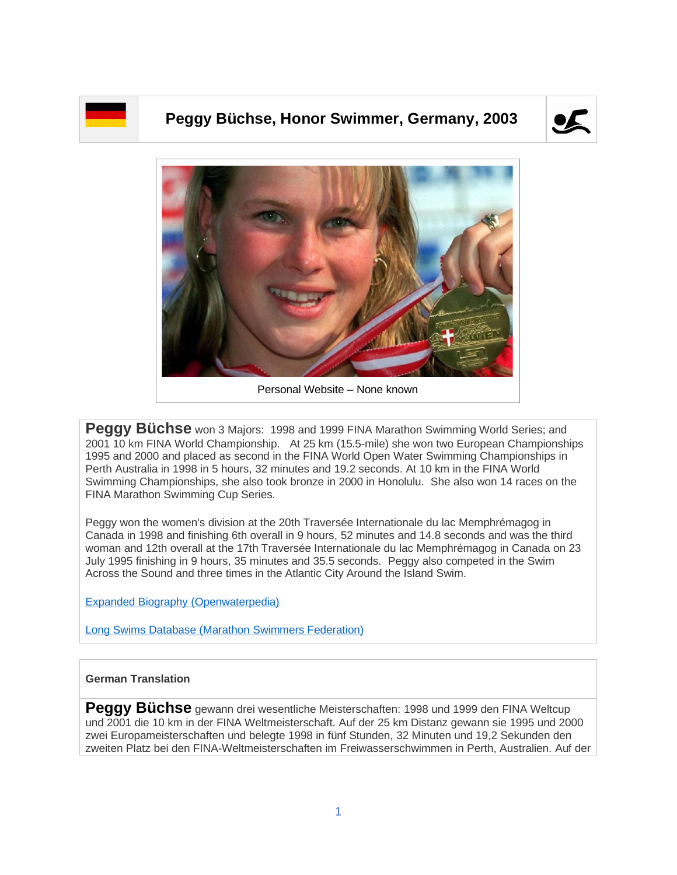

## **Peggy Büchse, Honor Swimmer, Germany, 2003**





Personal Website – None known

Peggy Büchse won 3 Majors: 1998 and 1999 FINA Marathon Swimming World Series; and 2001 10 km FINA World Championship. At 25 km (15.5-mile) she won two European Championships 1995 and 2000 and placed as second in the FINA World Open Water Swimming Championships in Perth Australia in 1998 in 5 hours, 32 minutes and 19.2 seconds. At 10 km in the FINA World Swimming Championships, she also took bronze in 2000 in Honolulu. She also won 14 races on the FINA Marathon Swimming Cup Series.

Peggy won the women's division at the 20th Traversée Internationale du lac Memphrémagog in Canada in 1998 and finishing 6th overall in 9 hours, 52 minutes and 14.8 seconds and was the third woman and 12th overall at the 17th Traversée Internationale du lac Memphrémagog in Canada on 23 July 1995 finishing in 9 hours, 35 minutes and 35.5 seconds. Peggy also competed in the Swim Across the Sound and three times in the Atlantic City Around the Island Swim.

[Expanded Biography](https://www.openwaterpedia.com/index.php?title=Peggy_Buchse) (Openwaterpedia)

Long Swims Database [\(Marathon Swimmers Federation\)](https://db.marathonswimmers.org/p/peggy-buchse/)

## **German Translation**

**Peggy Büchse** gewann drei wesentliche Meisterschaften: 1998 und 1999 den FINA Weltcup und 2001 die 10 km in der FINA Weltmeisterschaft. Auf der 25 km Distanz gewann sie 1995 und 2000 zwei Europameisterschaften und belegte 1998 in fünf Stunden, 32 Minuten und 19,2 Sekunden den zweiten Platz bei den FINA-Weltmeisterschaften im Freiwasserschwimmen in Perth, Australien. Auf der